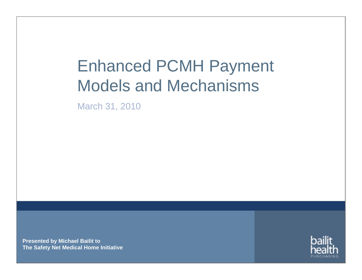# Enhanced PCMH Payment Models and Mechanisms

March 31, 2010

**Presented by Michael Bailit to The Safety Net Medical Home Initiative**

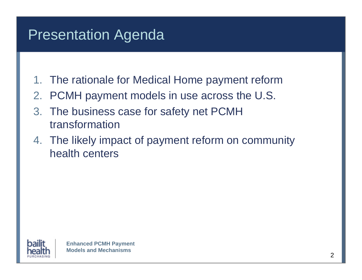#### Presentation Agenda

- 1. The rationale for Medical Home payment reform
- 2. PCMH payment models in use across the U.S.
- 3. The business case for safety net PCMH transformation
- 4. The likely impact of payment reform on community health centers

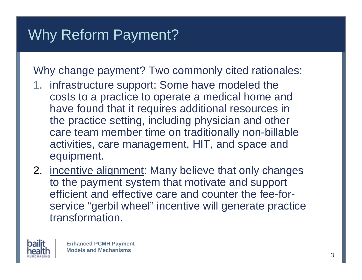Why change payment? Two commonly cited rationales:

- 1. infrastructure support: Some have modeled the costs to a practice to operate a medical home and have found that it requires additional resources in the practice setting, including physician and other care team member time on traditionally non-billable activities, care management, HIT, and space and equipment.
- 2. incentive alignment: Many believe that only changes to the payment system that motivate and support efficient and effective care and counter the fee-forservice "gerbil wheel" incentive will generate practice transformation.

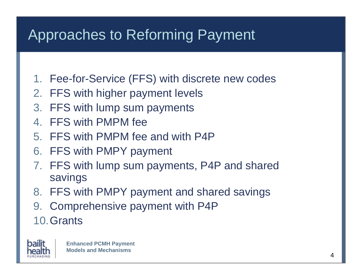- 1. Fee-for-Service (FFS) with discrete new codes
- 2. FFS with higher payment levels
- 3. FFS with lump sum payments
- 4. FFS with PMPM fee
- 5. FFS with PMPM fee and with P4P
- 6. FFS with PMPY payment
- 7. FFS with lump sum payments, P4P and shared savings
- 8. FFS with PMPY payment and shared savings
- 9. Comprehensive payment with P4P
- 10.Grants

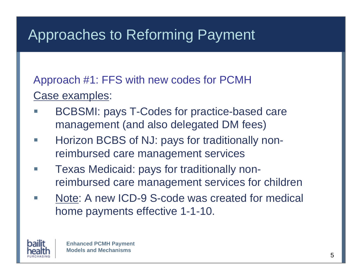Approach #1: FFS with new codes for PCMH Case examples:

- Г BCBSMI: pays T-Codes for practice-based care management (and also delegated DM fees)
- **I**  Horizon BCBS of NJ: pays for traditionally nonreimbursed care management services
- Texas Medicaid: pays for traditionally nonreimbursed care management services for children
- m. Note: A new ICD-9 S-code was created for medical home payments effective 1-1-10.

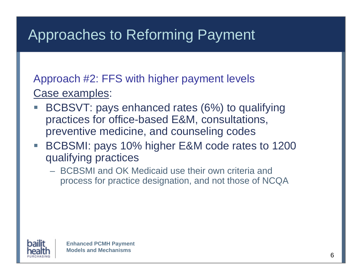Approach #2: FFS with higher payment levels Case examples:

- BCBSVT: pays enhanced rates (6%) to qualifying practices for office-based E&M, consultations, preventive medicine, and counseling codes
- BCBSMI: pays 10% higher E&M code rates to 1200 qualifying practices
	- BCBSMI and OK Medicaid use their own criteria and process for practice designation, and not those of NCQA

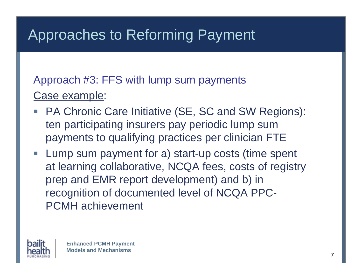#### Approach #3: FFS with lump sum payments Case example:

- Г PA Chronic Care Initiative (SE, SC and SW Regions): ten participating insurers pay periodic lump sum payments to qualifying practices per clinician FTE
- **Lump sum payment for a) start-up costs (time spent** at learning collaborative, NCQA fees, costs of registry prep and EMR report development) and b) in recognition of documented level of NCQA PPC-PCMH achievement

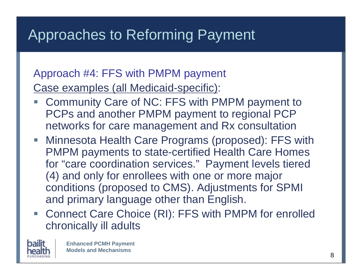#### Approach #4: FFS with PMPM payment Case examples (all Medicaid-specific):

- Community Care of NC: FFS with PMPM payment to PCPs and another PMPM payment to regional PCP networks for care management and Rx consultation
- Minnesota Health Care Programs (proposed): FFS with PMPM payments to state-certified Health Care Homes for "care coordination services." Payment levels tiered (4) and only for enrollees with one or more major conditions (proposed to CMS). Adjustments for SPMI and primary language other than English.
- Connect Care Choice (RI): FFS with PMPM for enrolled chronically ill adults

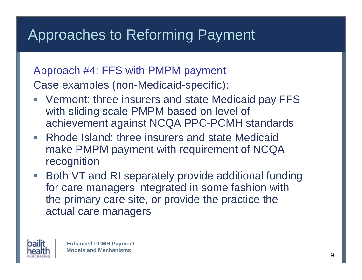#### Approach #4: FFS with PMPM payment Case examples (non-Medicaid-specific):

- Vermont: three insurers and state Medicaid pay FFS with sliding scale PMPM based on level of achievement against NCQA PPC-PCMH standards
- Rhode Island: three insurers and state Medicaid make PMPM payment with requirement of NCQA recognition
- Both VT and RI separately provide additional funding for care managers integrated in some fashion with the primary care site, or provide the practice the actual care managers

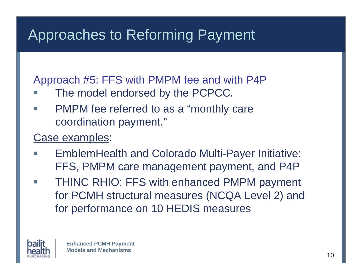Approach #5: FFS with PMPM fee and with P4P

- m. The model endorsed by the PCPCC.
- F. PMPM fee referred to as a "monthly care coordination payment."

#### Case examples:

- **I**  EmblemHealth and Colorado Multi-Payer Initiative: FFS, PMPM care management payment, and P4P
- Г THINC RHIO: FFS with enhanced PMPM payment for PCMH structural measures (NCQA Level 2) and for performance on 10 HEDIS measures

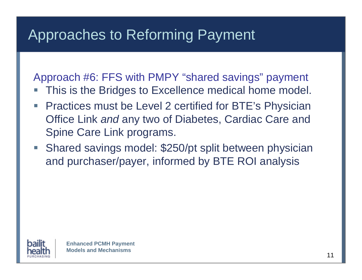Approach #6: FFS with PMPY "shared savings" payment

- This is the Bridges to Excellence medical home model.
- Practices must be Level 2 certified for BTE's Physician Office Link *and* any two of Diabetes, Cardiac Care and Spine Care Link programs.
- **Shared savings model: \$250/pt split between physician** and purchaser/payer, informed by BTE ROI analysis

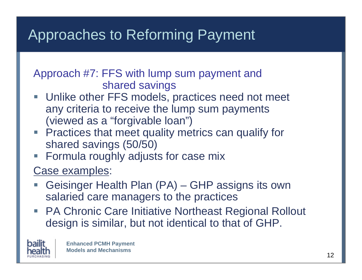#### Approach #7: FFS with lump sum payment and shared savings

- Г Unlike other FFS models, practices need not meet any criteria to receive the lump sum payments (viewed as a "forgivable loan")
- **Practices that meet quality metrics can qualify for** shared savings (50/50)
- **Formula roughly adjusts for case mix**

#### Case examples:

- l. Geisinger Health Plan (PA) – GHP assigns its own salaried care managers to the practices
- PA Chronic Care Initiative Northeast Regional Rollout design is similar, but not identical to that of GHP.

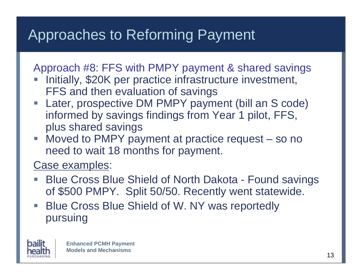Approach #8: FFS with PMPY payment & shared savings

- Initially, \$20K per practice infrastructure investment, FFS and then evaluation of savings
- Later, prospective DM PMPY payment (bill an S code) informed by savings findings from Year 1 pilot, FFS, plus shared savings
- Moved to PMPY payment at practice request so no need to wait 18 months for payment.

Case examples:

- l. Blue Cross Blue Shield of North Dakota - Found savings of \$500 PMPY. Split 50/50. Recently went statewide.
- **Blue Cross Blue Shield of W. NY was reportedly** pursuing

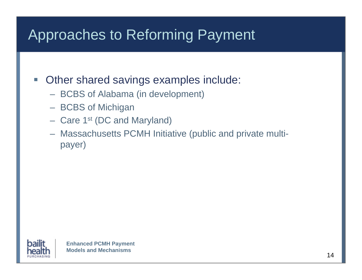- Г Other shared savings examples include:
	- BCBS of Alabama (in development)
	- BCBS of Michigan
	- Care 1st (DC and Maryland)
	- Massachusetts PCMH Initiative (public and private multipayer)

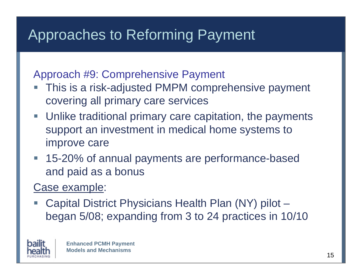Approach #9: Comprehensive Payment

- This is a risk-adjusted PMPM comprehensive payment covering all primary care services
- **Unlike traditional primary care capitation, the payments** support an investment in medical home systems to improve care
- 15-20% of annual payments are performance-based and paid as a bonus

#### Case example:

 Capital District Physicians Health Plan (NY) pilot – began 5/08; expanding from 3 to 24 practices in 10/10

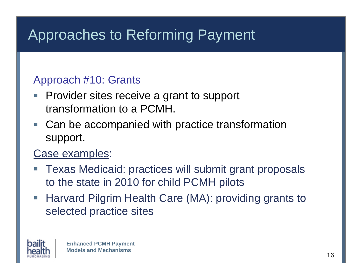#### Approach #10: Grants

- Г Provider sites receive a grant to support transformation to a PCMH.
- Can be accompanied with practice transformation support.

#### Case examples:

- l. Texas Medicaid: practices will submit grant proposals to the state in 2010 for child PCMH pilots
- **Harvard Pilgrim Health Care (MA): providing grants to** selected practice sites

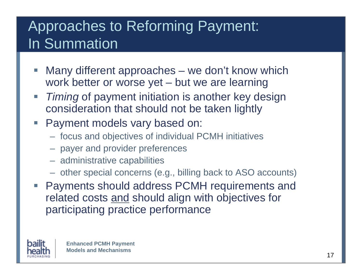### Approaches to Reforming Payment: In Summation

- Г Many different approaches – we don't know which work better or worse yet – but we are learning
- *Timing* of payment initiation is another key design consideration that should not be taken lightly
- **Payment models vary based on:** 
	- focus and objectives of individual PCMH initiatives
	- payer and provider preferences
	- administrative capabilities
	- other special concerns (e.g., billing back to ASO accounts)
- Payments should address PCMH requirements and related costs and should align with objectives for participating practice performance

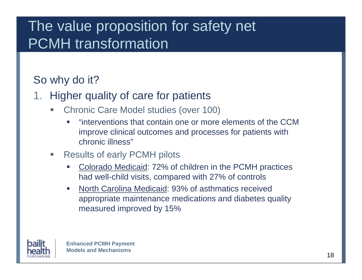### The value proposition for safety net PCMH transformation

#### So why do it?

- 1. Higher quality of care for patients
	- $\Box$  Chronic Care Model studies (over 100)
		- $\mathcal{L}_{\mathcal{A}}$  "interventions that contain one or more elements of the CCM improve clinical outcomes and processes for patients with chronic illness"
	- $\Box$  Results of early PCMH pilots
		- п Colorado Medicaid: 72% of children in the PCMH practices had well-child visits, compared with 27% of controls
		- $\mathcal{L}_{\mathcal{A}}$  North Carolina Medicaid: 93% of asthmatics received appropriate maintenance medications and diabetes quality measured improved by 15%

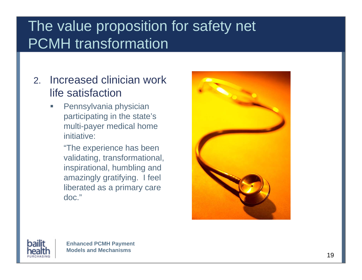### The value proposition for safety net PCMH transformation

- 2. Increased clinician work life satisfaction
	- $\Box$  Pennsylvania physician participating in the state's multi-payer medical home initiative:
		- "The experience has been validating, transformational, inspirational, humbling and amazingly gratifying. I feel liberated as a primary care doc."



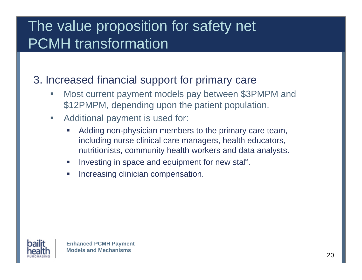### The value proposition for safety net PCMH transformation

3. Increased financial support for primary care

- $\Box$  Most current payment models pay between \$3PMPM and \$12PMPM, depending upon the patient population.
- $\overline{\phantom{a}}$  Additional payment is used for:
	- $\mathcal{L}_{\mathcal{A}}$  Adding non-physician members to the primary care team, including nurse clinical care managers, health educators, nutritionists, community health workers and data analysts.
	- $\mathcal{L}_{\mathcal{A}}$ Investing in space and equipment for new staff.
	- $\overline{\phantom{a}}$ Increasing clinician compensation.

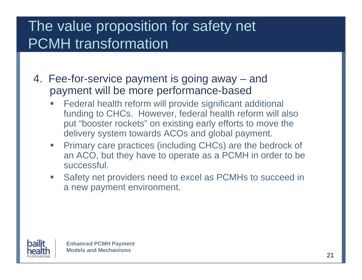### The value proposition for safety net PCMH transformation

- 4. Fee-for-service payment is going away and payment will be more performance-based
	- $\overline{\phantom{0}}$  Federal health reform will provide significant additional funding to CHCs. However, federal health reform will also put "booster rockets" on existing early efforts to move the delivery system towards ACOs and global payment.
	- $\overline{\phantom{a}}$  Primary care practices (including CHCs) are the bedrock of an ACO, but they have to operate as a PCMH in order to be successful.
	- $\Box$  Safety net providers need to excel as PCMHs to succeed in a new payment environment.